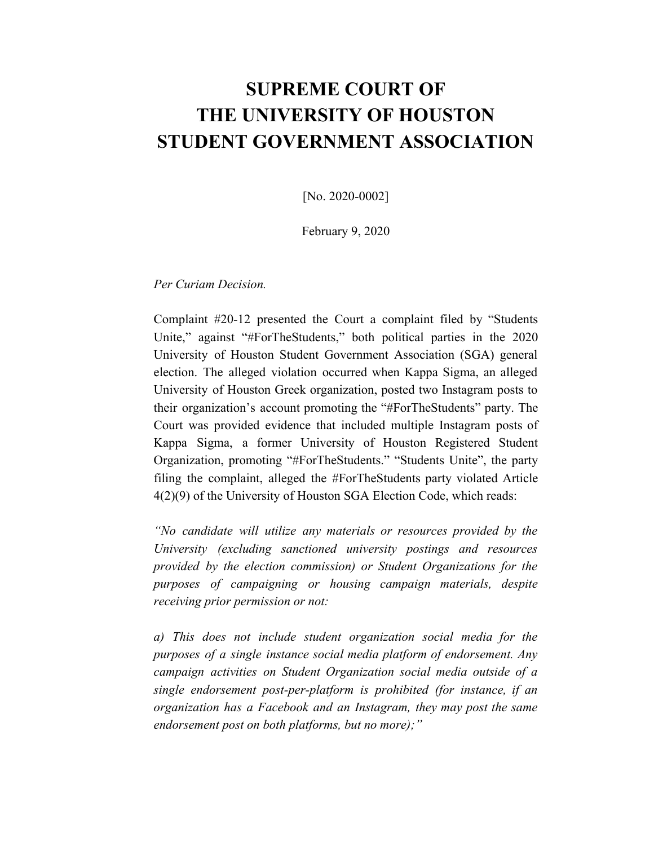# **SUPREME COURT OF THE UNIVERSITY OF HOUSTON STUDENT GOVERNMENT ASSOCIATION**

[No. 2020-0002]

February 9, 2020

*Per Curiam Decision.*

Complaint #20-12 presented the Court a complaint filed by "Students Unite," against "#ForTheStudents," both political parties in the 2020 University of Houston Student Government Association (SGA) general election. The alleged violation occurred when Kappa Sigma, an alleged University of Houston Greek organization, posted two Instagram posts to their organization's account promoting the "#ForTheStudents" party. The Court was provided evidence that included multiple Instagram posts of Kappa Sigma, a former University of Houston Registered Student Organization, promoting "#ForTheStudents." "Students Unite", the party filing the complaint, alleged the #ForTheStudents party violated Article 4(2)(9) of the University of Houston SGA Election Code, which reads:

*"No candidate will utilize any materials or resources provided by the University (excluding sanctioned university postings and resources provided by the election commission) or Student Organizations for the purposes of campaigning or housing campaign materials, despite receiving prior permission or not:*

*a) This does not include student organization social media for the purposes of a single instance social media platform of endorsement. Any campaign activities on Student Organization social media outside of a single endorsement post-per-platform is prohibited (for instance, if an organization has a Facebook and an Instagram, they may post the same endorsement post on both platforms, but no more);"*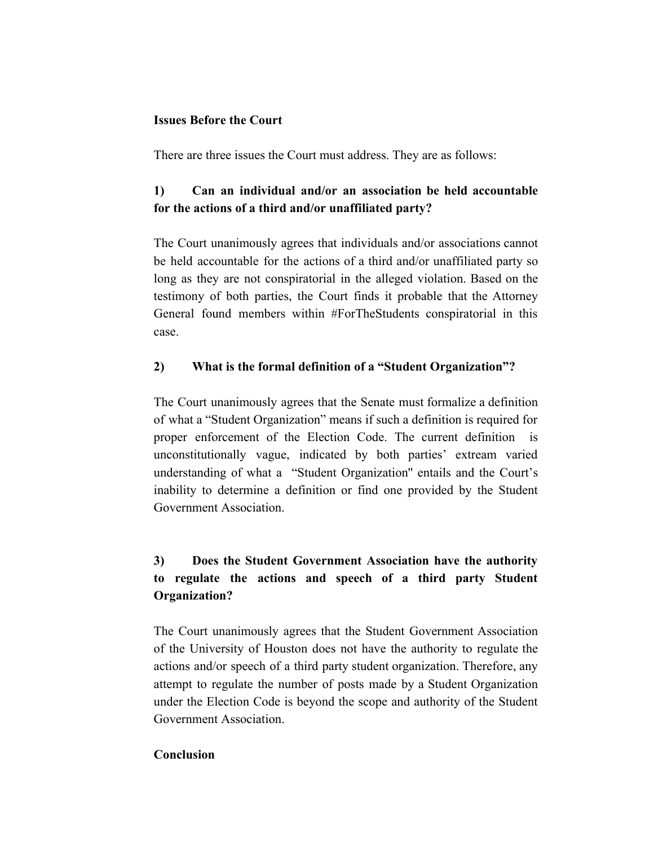#### **Issues Before the Court**

There are three issues the Court must address. They are as follows:

### **1) Can an individual and/or an association be held accountable for the actions of a third and/or unaffiliated party?**

The Court unanimously agrees that individuals and/or associations cannot be held accountable for the actions of a third and/or unaffiliated party so long as they are not conspiratorial in the alleged violation. Based on the testimony of both parties, the Court finds it probable that the Attorney General found members within #ForTheStudents conspiratorial in this case.

#### **2) What is the formal definition of a "Student Organization"?**

The Court unanimously agrees that the Senate must formalize a definition of what a "Student Organization" means if such a definition is required for proper enforcement of the Election Code. The current definition is unconstitutionally vague, indicated by both parties' extream varied understanding of what a "Student Organization'' entails and the Court's inability to determine a definition or find one provided by the Student Government Association.

## **3) Does the Student Government Association have the authority to regulate the actions and speech of a third party Student Organization?**

The Court unanimously agrees that the Student Government Association of the University of Houston does not have the authority to regulate the actions and/or speech of a third party student organization. Therefore, any attempt to regulate the number of posts made by a Student Organization under the Election Code is beyond the scope and authority of the Student Government Association.

#### **Conclusion**